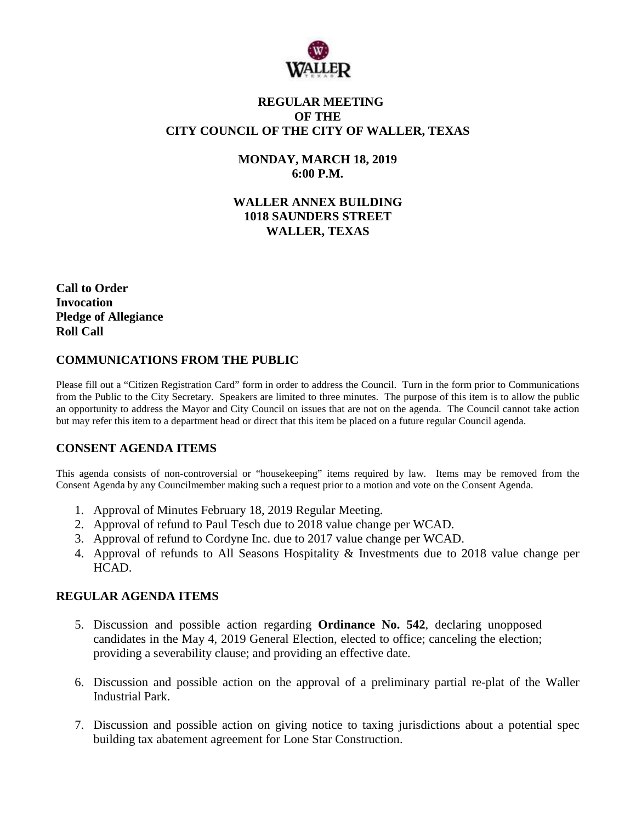

## **REGULAR MEETING OF THE CITY COUNCIL OF THE CITY OF WALLER, TEXAS**

## **MONDAY, MARCH 18, 2019 6:00 P.M.**

**WALLER ANNEX BUILDING 1018 SAUNDERS STREET WALLER, TEXAS**

**Call to Order Invocation Pledge of Allegiance Roll Call**

## **COMMUNICATIONS FROM THE PUBLIC**

Please fill out a "Citizen Registration Card" form in order to address the Council. Turn in the form prior to Communications from the Public to the City Secretary. Speakers are limited to three minutes. The purpose of this item is to allow the public an opportunity to address the Mayor and City Council on issues that are not on the agenda. The Council cannot take action but may refer this item to a department head or direct that this item be placed on a future regular Council agenda.

# **CONSENT AGENDA ITEMS**

This agenda consists of non-controversial or "housekeeping" items required by law. Items may be removed from the Consent Agenda by any Councilmember making such a request prior to a motion and vote on the Consent Agenda.

- 1. Approval of Minutes February 18, 2019 Regular Meeting.
- 2. Approval of refund to Paul Tesch due to 2018 value change per WCAD.
- 3. Approval of refund to Cordyne Inc. due to 2017 value change per WCAD.
- 4. Approval of refunds to All Seasons Hospitality & Investments due to 2018 value change per HCAD.

#### **REGULAR AGENDA ITEMS**

- 5. Discussion and possible action regarding **Ordinance No. 542**, declaring unopposed candidates in the May 4, 2019 General Election, elected to office; canceling the election; providing a severability clause; and providing an effective date.
- 6. Discussion and possible action on the approval of a preliminary partial re-plat of the Waller Industrial Park.
- 7. Discussion and possible action on giving notice to taxing jurisdictions about a potential spec building tax abatement agreement for Lone Star Construction.